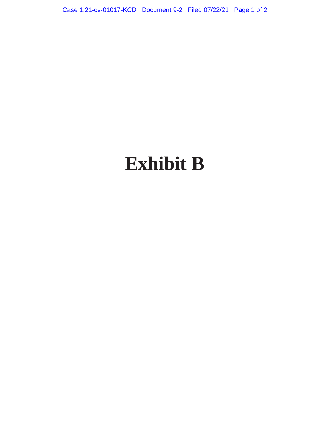Case 1:21-cv-01017-KCD Document 9-2 Filed 07/22/21 Page 1 of 2

## **Exhibit B**